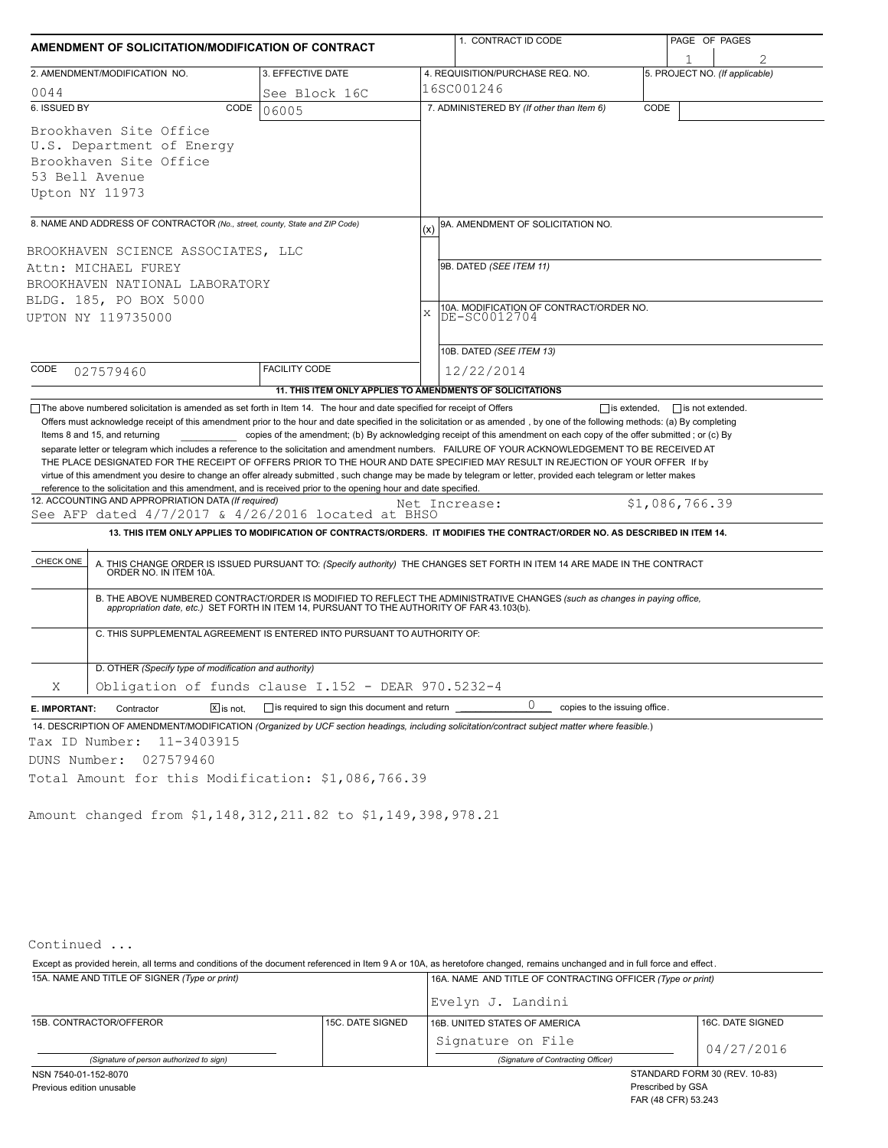| AMENDMENT OF SOLICITATION/MODIFICATION OF CONTRACT |                                                                                                                                                                                                                                                                                                                                                   |                                                           |     | 1. CONTRACT ID CODE                                                                                                                                                                                                                                                                                                                                                                                                                                                                                                                                                                                                                                                                                                                                                                                                                                                                                                                                                                                                                                                                                              |      |                | PAGE OF PAGES                  |  |  |
|----------------------------------------------------|---------------------------------------------------------------------------------------------------------------------------------------------------------------------------------------------------------------------------------------------------------------------------------------------------------------------------------------------------|-----------------------------------------------------------|-----|------------------------------------------------------------------------------------------------------------------------------------------------------------------------------------------------------------------------------------------------------------------------------------------------------------------------------------------------------------------------------------------------------------------------------------------------------------------------------------------------------------------------------------------------------------------------------------------------------------------------------------------------------------------------------------------------------------------------------------------------------------------------------------------------------------------------------------------------------------------------------------------------------------------------------------------------------------------------------------------------------------------------------------------------------------------------------------------------------------------|------|----------------|--------------------------------|--|--|
|                                                    |                                                                                                                                                                                                                                                                                                                                                   |                                                           |     |                                                                                                                                                                                                                                                                                                                                                                                                                                                                                                                                                                                                                                                                                                                                                                                                                                                                                                                                                                                                                                                                                                                  |      |                |                                |  |  |
| 3. EFFECTIVE DATE<br>2. AMENDMENT/MODIFICATION NO. |                                                                                                                                                                                                                                                                                                                                                   |                                                           |     | 4. REQUISITION/PURCHASE REQ. NO.                                                                                                                                                                                                                                                                                                                                                                                                                                                                                                                                                                                                                                                                                                                                                                                                                                                                                                                                                                                                                                                                                 |      |                | 5. PROJECT NO. (If applicable) |  |  |
| 0044                                               |                                                                                                                                                                                                                                                                                                                                                   | See Block 16C                                             |     | 16SC001246                                                                                                                                                                                                                                                                                                                                                                                                                                                                                                                                                                                                                                                                                                                                                                                                                                                                                                                                                                                                                                                                                                       |      |                |                                |  |  |
| 6. ISSUED BY                                       | CODE                                                                                                                                                                                                                                                                                                                                              | 06005                                                     |     | 7. ADMINISTERED BY (If other than Item 6)                                                                                                                                                                                                                                                                                                                                                                                                                                                                                                                                                                                                                                                                                                                                                                                                                                                                                                                                                                                                                                                                        | CODE |                |                                |  |  |
|                                                    | Brookhaven Site Office                                                                                                                                                                                                                                                                                                                            |                                                           |     |                                                                                                                                                                                                                                                                                                                                                                                                                                                                                                                                                                                                                                                                                                                                                                                                                                                                                                                                                                                                                                                                                                                  |      |                |                                |  |  |
|                                                    | U.S. Department of Energy                                                                                                                                                                                                                                                                                                                         |                                                           |     |                                                                                                                                                                                                                                                                                                                                                                                                                                                                                                                                                                                                                                                                                                                                                                                                                                                                                                                                                                                                                                                                                                                  |      |                |                                |  |  |
|                                                    | Brookhaven Site Office                                                                                                                                                                                                                                                                                                                            |                                                           |     |                                                                                                                                                                                                                                                                                                                                                                                                                                                                                                                                                                                                                                                                                                                                                                                                                                                                                                                                                                                                                                                                                                                  |      |                |                                |  |  |
| 53 Bell Avenue                                     |                                                                                                                                                                                                                                                                                                                                                   |                                                           |     |                                                                                                                                                                                                                                                                                                                                                                                                                                                                                                                                                                                                                                                                                                                                                                                                                                                                                                                                                                                                                                                                                                                  |      |                |                                |  |  |
| Upton NY 11973                                     |                                                                                                                                                                                                                                                                                                                                                   |                                                           |     |                                                                                                                                                                                                                                                                                                                                                                                                                                                                                                                                                                                                                                                                                                                                                                                                                                                                                                                                                                                                                                                                                                                  |      |                |                                |  |  |
|                                                    |                                                                                                                                                                                                                                                                                                                                                   |                                                           |     |                                                                                                                                                                                                                                                                                                                                                                                                                                                                                                                                                                                                                                                                                                                                                                                                                                                                                                                                                                                                                                                                                                                  |      |                |                                |  |  |
|                                                    | 8. NAME AND ADDRESS OF CONTRACTOR (No., street, county, State and ZIP Code)                                                                                                                                                                                                                                                                       |                                                           | (x) | 9A. AMENDMENT OF SOLICITATION NO.                                                                                                                                                                                                                                                                                                                                                                                                                                                                                                                                                                                                                                                                                                                                                                                                                                                                                                                                                                                                                                                                                |      |                |                                |  |  |
|                                                    |                                                                                                                                                                                                                                                                                                                                                   |                                                           |     |                                                                                                                                                                                                                                                                                                                                                                                                                                                                                                                                                                                                                                                                                                                                                                                                                                                                                                                                                                                                                                                                                                                  |      |                |                                |  |  |
|                                                    | BROOKHAVEN SCIENCE ASSOCIATES, LLC                                                                                                                                                                                                                                                                                                                |                                                           |     |                                                                                                                                                                                                                                                                                                                                                                                                                                                                                                                                                                                                                                                                                                                                                                                                                                                                                                                                                                                                                                                                                                                  |      |                |                                |  |  |
|                                                    | Attn: MICHAEL FUREY                                                                                                                                                                                                                                                                                                                               |                                                           |     | 9B. DATED (SEE ITEM 11)                                                                                                                                                                                                                                                                                                                                                                                                                                                                                                                                                                                                                                                                                                                                                                                                                                                                                                                                                                                                                                                                                          |      |                |                                |  |  |
|                                                    | BROOKHAVEN NATIONAL LABORATORY                                                                                                                                                                                                                                                                                                                    |                                                           |     |                                                                                                                                                                                                                                                                                                                                                                                                                                                                                                                                                                                                                                                                                                                                                                                                                                                                                                                                                                                                                                                                                                                  |      |                |                                |  |  |
|                                                    | BLDG. 185, PO BOX 5000                                                                                                                                                                                                                                                                                                                            |                                                           | X   | 10A. MODIFICATION OF CONTRACT/ORDER NO.                                                                                                                                                                                                                                                                                                                                                                                                                                                                                                                                                                                                                                                                                                                                                                                                                                                                                                                                                                                                                                                                          |      |                |                                |  |  |
|                                                    | UPTON NY 119735000                                                                                                                                                                                                                                                                                                                                |                                                           |     | DE-SC0012704                                                                                                                                                                                                                                                                                                                                                                                                                                                                                                                                                                                                                                                                                                                                                                                                                                                                                                                                                                                                                                                                                                     |      |                |                                |  |  |
|                                                    |                                                                                                                                                                                                                                                                                                                                                   |                                                           |     |                                                                                                                                                                                                                                                                                                                                                                                                                                                                                                                                                                                                                                                                                                                                                                                                                                                                                                                                                                                                                                                                                                                  |      |                |                                |  |  |
|                                                    |                                                                                                                                                                                                                                                                                                                                                   |                                                           |     | 10B. DATED (SEE ITEM 13)                                                                                                                                                                                                                                                                                                                                                                                                                                                                                                                                                                                                                                                                                                                                                                                                                                                                                                                                                                                                                                                                                         |      |                |                                |  |  |
| CODE                                               | 027579460                                                                                                                                                                                                                                                                                                                                         | <b>FACILITY CODE</b>                                      |     | 12/22/2014                                                                                                                                                                                                                                                                                                                                                                                                                                                                                                                                                                                                                                                                                                                                                                                                                                                                                                                                                                                                                                                                                                       |      |                |                                |  |  |
|                                                    |                                                                                                                                                                                                                                                                                                                                                   | 11. THIS ITEM ONLY APPLIES TO AMENDMENTS OF SOLICITATIONS |     |                                                                                                                                                                                                                                                                                                                                                                                                                                                                                                                                                                                                                                                                                                                                                                                                                                                                                                                                                                                                                                                                                                                  |      |                |                                |  |  |
| CHECK ONE                                          | Items 8 and 15, and returning<br>reference to the solicitation and this amendment, and is received prior to the opening hour and date specified.<br>12. ACCOUNTING AND APPROPRIATION DATA (If required)<br>See AFP dated $4/7/2017 \approx 4/26/2016$ located at BHSO<br>C. THIS SUPPLEMENTAL AGREEMENT IS ENTERED INTO PURSUANT TO AUTHORITY OF: |                                                           |     | copies of the amendment; (b) By acknowledging receipt of this amendment on each copy of the offer submitted; or (c) By<br>separate letter or telegram which includes a reference to the solicitation and amendment numbers. FAILURE OF YOUR ACKNOWLEDGEMENT TO BE RECEIVED AT<br>THE PLACE DESIGNATED FOR THE RECEIPT OF OFFERS PRIOR TO THE HOUR AND DATE SPECIFIED MAY RESULT IN REJECTION OF YOUR OFFER If by<br>virtue of this amendment you desire to change an offer already submitted, such change may be made by telegram or letter, provided each telegram or letter makes<br>Net Increase:<br>13. THIS ITEM ONLY APPLIES TO MODIFICATION OF CONTRACTS/ORDERS. IT MODIFIES THE CONTRACT/ORDER NO. AS DESCRIBED IN ITEM 14.<br>A. THIS CHANGE ORDER IS ISSUED PURSUANT TO: (Specify authority) THE CHANGES SET FORTH IN ITEM 14 ARE MADE IN THE CONTRACT ORDER NO. IN ITEM 10A.<br>B. THE ABOVE NUMBERED CONTRACT/ORDER IS MODIFIED TO REFLECT THE ADMINISTRATIVE CHANGES (such as changes in paying office, appropriation date, etc.) SET FORTH IN ITEM 14, PURSUANT TO THE AUTHORITY OF FAR 43.103(b). |      | \$1,086,766.39 |                                |  |  |
|                                                    | D. OTHER (Specify type of modification and authority)                                                                                                                                                                                                                                                                                             |                                                           |     |                                                                                                                                                                                                                                                                                                                                                                                                                                                                                                                                                                                                                                                                                                                                                                                                                                                                                                                                                                                                                                                                                                                  |      |                |                                |  |  |
| Χ                                                  | Obligation of funds clause I.152 - DEAR 970.5232-4                                                                                                                                                                                                                                                                                                |                                                           |     |                                                                                                                                                                                                                                                                                                                                                                                                                                                                                                                                                                                                                                                                                                                                                                                                                                                                                                                                                                                                                                                                                                                  |      |                |                                |  |  |
| E. IMPORTANT:                                      | $\boxed{\mathsf{X}}$ is not.<br>Contractor                                                                                                                                                                                                                                                                                                        | $\Box$ is required to sign this document and return       |     | 0<br>copies to the issuing office.                                                                                                                                                                                                                                                                                                                                                                                                                                                                                                                                                                                                                                                                                                                                                                                                                                                                                                                                                                                                                                                                               |      |                |                                |  |  |
|                                                    |                                                                                                                                                                                                                                                                                                                                                   |                                                           |     | 14. DESCRIPTION OF AMENDMENT/MODIFICATION (Organized by UCF section headings, including solicitation/contract subject matter where feasible.)                                                                                                                                                                                                                                                                                                                                                                                                                                                                                                                                                                                                                                                                                                                                                                                                                                                                                                                                                                    |      |                |                                |  |  |
| Tax ID Number:                                     | 11-3403915                                                                                                                                                                                                                                                                                                                                        |                                                           |     |                                                                                                                                                                                                                                                                                                                                                                                                                                                                                                                                                                                                                                                                                                                                                                                                                                                                                                                                                                                                                                                                                                                  |      |                |                                |  |  |
| DUNS Number:                                       | 027579460                                                                                                                                                                                                                                                                                                                                         |                                                           |     |                                                                                                                                                                                                                                                                                                                                                                                                                                                                                                                                                                                                                                                                                                                                                                                                                                                                                                                                                                                                                                                                                                                  |      |                |                                |  |  |
|                                                    | Total Amount for this Modification: \$1,086,766.39                                                                                                                                                                                                                                                                                                |                                                           |     |                                                                                                                                                                                                                                                                                                                                                                                                                                                                                                                                                                                                                                                                                                                                                                                                                                                                                                                                                                                                                                                                                                                  |      |                |                                |  |  |
|                                                    |                                                                                                                                                                                                                                                                                                                                                   |                                                           |     |                                                                                                                                                                                                                                                                                                                                                                                                                                                                                                                                                                                                                                                                                                                                                                                                                                                                                                                                                                                                                                                                                                                  |      |                |                                |  |  |
|                                                    |                                                                                                                                                                                                                                                                                                                                                   |                                                           |     |                                                                                                                                                                                                                                                                                                                                                                                                                                                                                                                                                                                                                                                                                                                                                                                                                                                                                                                                                                                                                                                                                                                  |      |                |                                |  |  |
|                                                    | Amount changed from \$1,148,312,211.82 to \$1,149,398,978.21                                                                                                                                                                                                                                                                                      |                                                           |     |                                                                                                                                                                                                                                                                                                                                                                                                                                                                                                                                                                                                                                                                                                                                                                                                                                                                                                                                                                                                                                                                                                                  |      |                |                                |  |  |

Continued ...

15A. NAME AND TITLE OF SIGNER *(Type or print)* 16A. NAME AND TITLE OF CONTRACTING OFFICER *(Type or print)* Except as provided herein, all terms and conditions of the document referenced in Item 9 A or 10A, as heretofore changed, remains unchanged and in full force and effect .

|                                          |                  | Evelyn J. Landini                  |                               |  |  |
|------------------------------------------|------------------|------------------------------------|-------------------------------|--|--|
| 15B. CONTRACTOR/OFFEROR                  | 15C. DATE SIGNED | 16B. UNITED STATES OF AMERICA      | 16C. DATE SIGNED              |  |  |
|                                          |                  | Signature on File                  | 04/27/2016                    |  |  |
| (Signature of person authorized to sign) |                  | (Signature of Contracting Officer) |                               |  |  |
| NSN 7540-01-152-8070                     |                  |                                    | STANDARD FORM 30 (REV. 10-83) |  |  |